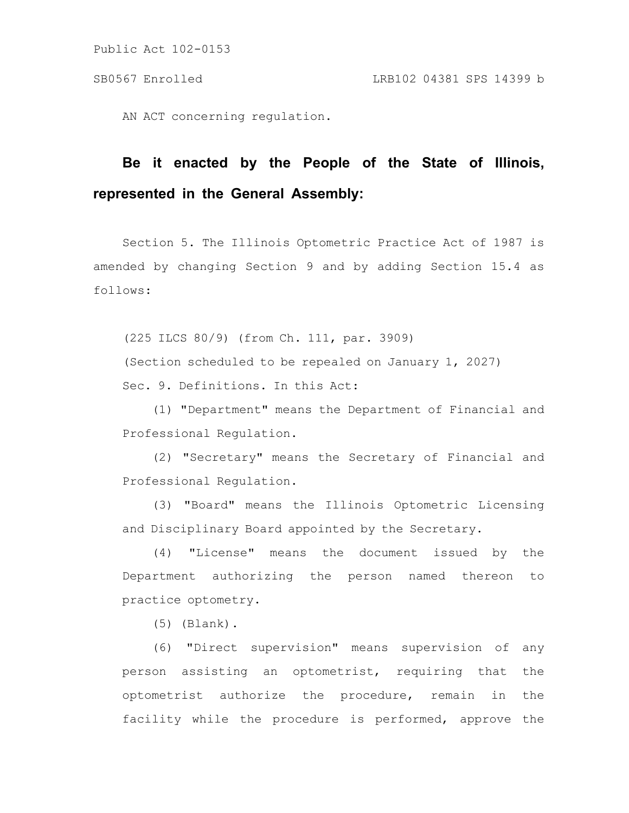Public Act 102-0153

AN ACT concerning regulation.

## **Be it enacted by the People of the State of Illinois, represented in the General Assembly:**

Section 5. The Illinois Optometric Practice Act of 1987 is amended by changing Section 9 and by adding Section 15.4 as follows:

(225 ILCS 80/9) (from Ch. 111, par. 3909) (Section scheduled to be repealed on January 1, 2027) Sec. 9. Definitions. In this Act:

(1) "Department" means the Department of Financial and Professional Regulation.

(2) "Secretary" means the Secretary of Financial and Professional Regulation.

(3) "Board" means the Illinois Optometric Licensing and Disciplinary Board appointed by the Secretary.

(4) "License" means the document issued by the Department authorizing the person named thereon to practice optometry.

(5) (Blank).

(6) "Direct supervision" means supervision of any person assisting an optometrist, requiring that the optometrist authorize the procedure, remain in the facility while the procedure is performed, approve the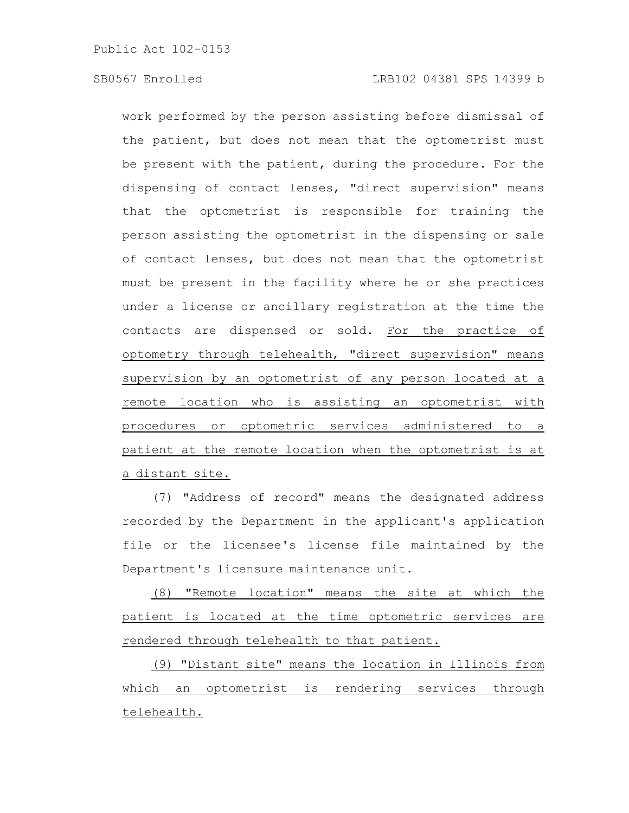work performed by the person assisting before dismissal of the patient, but does not mean that the optometrist must be present with the patient, during the procedure. For the dispensing of contact lenses, "direct supervision" means that the optometrist is responsible for training the person assisting the optometrist in the dispensing or sale of contact lenses, but does not mean that the optometrist must be present in the facility where he or she practices under a license or ancillary registration at the time the contacts are dispensed or sold. For the practice of optometry through telehealth, "direct supervision" means supervision by an optometrist of any person located at a remote location who is assisting an optometrist with procedures or optometric services administered to a patient at the remote location when the optometrist is at a distant site.

(7) "Address of record" means the designated address recorded by the Department in the applicant's application file or the licensee's license file maintained by the Department's licensure maintenance unit.

(8) "Remote location" means the site at which the patient is located at the time optometric services are rendered through telehealth to that patient.

(9) "Distant site" means the location in Illinois from which an optometrist is rendering services through telehealth.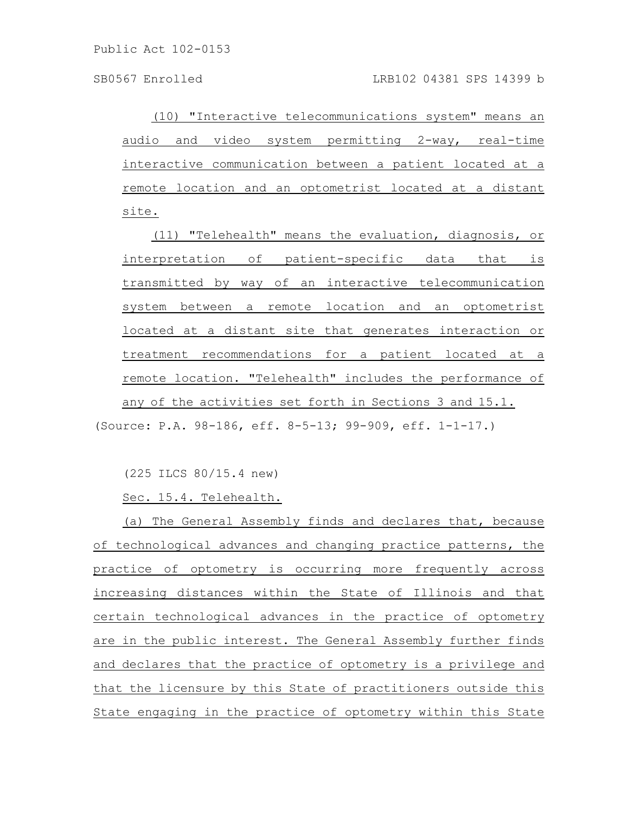(10) "Interactive telecommunications system" means an audio and video system permitting 2-way, real-time interactive communication between a patient located at a remote location and an optometrist located at a distant site.

(11) "Telehealth" means the evaluation, diagnosis, or interpretation of patient-specific data that is transmitted by way of an interactive telecommunication system between a remote location and an optometrist located at a distant site that generates interaction or treatment recommendations for a patient located at a remote location. "Telehealth" includes the performance of any of the activities set forth in Sections 3 and 15.1.

(Source: P.A. 98-186, eff. 8-5-13; 99-909, eff. 1-1-17.)

(225 ILCS 80/15.4 new)

Sec. 15.4. Telehealth.

(a) The General Assembly finds and declares that, because of technological advances and changing practice patterns, the practice of optometry is occurring more frequently across increasing distances within the State of Illinois and that certain technological advances in the practice of optometry are in the public interest. The General Assembly further finds and declares that the practice of optometry is a privilege and that the licensure by this State of practitioners outside this State engaging in the practice of optometry within this State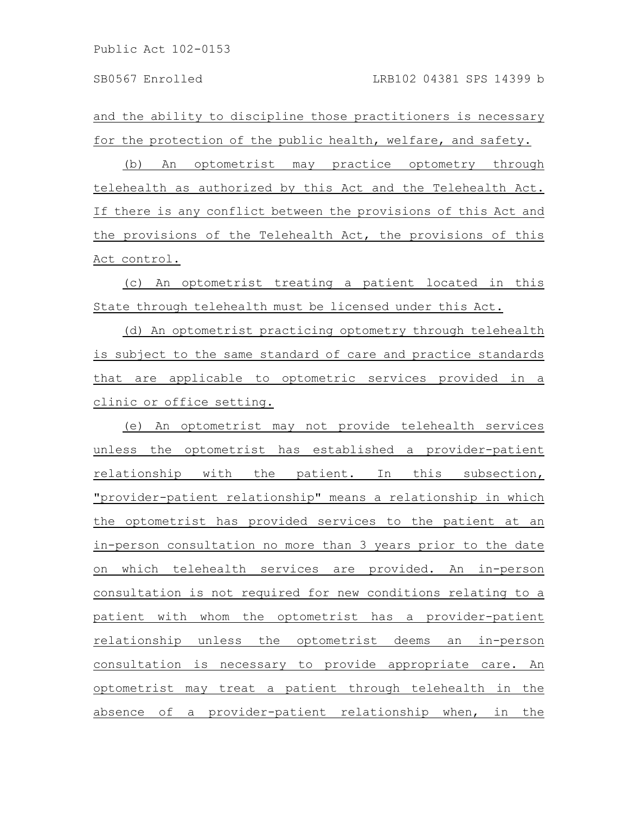and the ability to discipline those practitioners is necessary for the protection of the public health, welfare, and safety.

(b) An optometrist may practice optometry through telehealth as authorized by this Act and the Telehealth Act. If there is any conflict between the provisions of this Act and the provisions of the Telehealth Act, the provisions of this Act control.

(c) An optometrist treating a patient located in this State through telehealth must be licensed under this Act.

(d) An optometrist practicing optometry through telehealth is subject to the same standard of care and practice standards that are applicable to optometric services provided in a clinic or office setting.

(e) An optometrist may not provide telehealth services unless the optometrist has established a provider-patient relationship with the patient. In this subsection, "provider-patient relationship" means a relationship in which the optometrist has provided services to the patient at an in-person consultation no more than 3 years prior to the date on which telehealth services are provided. An in-person consultation is not required for new conditions relating to a patient with whom the optometrist has a provider-patient relationship unless the optometrist deems an in-person consultation is necessary to provide appropriate care. An optometrist may treat a patient through telehealth in the absence of a provider-patient relationship when, in the